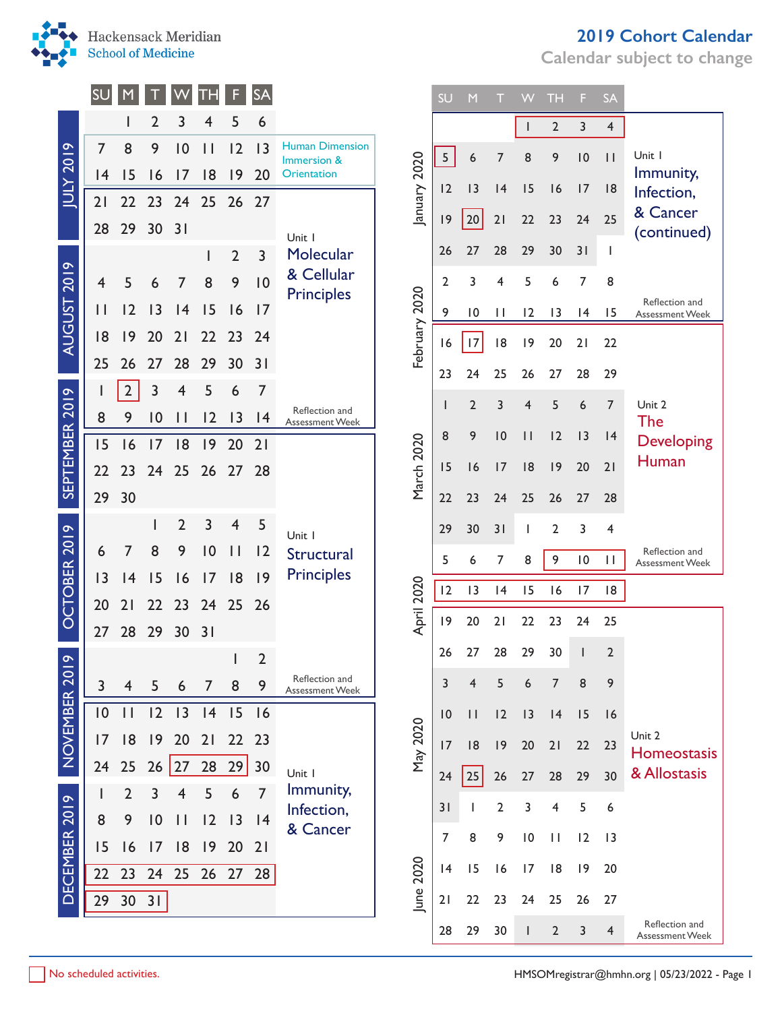

AUGUST 2019 JULY 2019

AUGUST 2019

**PIOZ XJUI** 

SEPTEMBER 2019

SEPTEMBER 2019

OCTOBER 2019

OCTOBER 2019

NOVEMBER 2019

NOVEMBER 2019

DECEMBER 2019

DECEMBER 2019

| 2019 Cohort Calendar |
|----------------------|
|----------------------|

**Calendar subject to change**

| SU             |                         |                |                |                | F              | <b>SA</b>      |                                                                        |               | SU | M              |                | W            | <b>TH</b>      | F               | <b>SA</b>      |                                   |
|----------------|-------------------------|----------------|----------------|----------------|----------------|----------------|------------------------------------------------------------------------|---------------|----|----------------|----------------|--------------|----------------|-----------------|----------------|-----------------------------------|
|                |                         | $\overline{2}$ | 3              | 4              | 5              | 6              |                                                                        |               |    |                |                |              | 2              | 3               | $\overline{4}$ |                                   |
| $\overline{7}$ | 8                       | 9              | 10             | $\vert \vert$  | 2              | 3              | <b>Human Dimension</b><br>Immersion &                                  |               | 5  | 6              | 7              | 8            | 9              | 10              | $\mathbf{H}$   | Unit I                            |
| 4              | 15                      | 16             | 17             | 8              | 9              | 20             | <b>Orientation</b>                                                     |               | 12 | 3              | 4              | 15           | 16             | 17              | 8              | Immunity,                         |
| 21             | 22                      | 23             | 24             | 25             | 26             | 27             |                                                                        | January 2020  |    |                |                |              |                |                 |                | Infection,<br>& Cancer            |
| 28             | 29                      | 30             | 31             |                |                |                | Unit I                                                                 |               | 9  | 20             | 21             | 22           | 23             | 24              | 25             | (continued)                       |
|                |                         |                |                | ı              | $\overline{2}$ | 3              | Molecular                                                              |               | 26 | 27             | 28             | 29           | 30             | 31              |                |                                   |
| 4              | 5                       | 6              |                | 8              | 9              | 10             |                                                                        |               | 2  | 3              | 4              | 5            | 6              | 7               | 8              |                                   |
| Ш              | $\overline{12}$         | 3              | 4              | 15             | 16             | 7              |                                                                        |               | 9  | 10             | $\mathbf{H}$   | 12           | 13             | 4               | 15             | Reflection and<br>Assessment Week |
| 8              | 19                      | 20             | 21             | 22             | 23             | 24             |                                                                        | February 2020 | 16 | 17             | 8              | 9            | 20             | 21              | 22             |                                   |
| 25             | 26                      | 27             | 28             | 29             | 30             | 31             |                                                                        |               | 23 | 24             | 25             | 26           | 27             | 28              | 29             |                                   |
| ı              | $\overline{2}$          | 3              | 4              | 5              | 6              | $\overline{7}$ |                                                                        |               |    | $\overline{2}$ | 3              | 4            | 5              | 6               | $\overline{7}$ | Unit 2                            |
| 8              | 9                       | 10             | $\mathsf{I}$   | 12             | 13             | 4              | Assessment Week                                                        |               |    |                |                |              |                |                 |                | The                               |
| 15             | 16                      | 17             | 8              | 9              | 20             | 21             |                                                                        | March 2020    | 8  | 9              | 10             | $\mathbf{H}$ | 12             | 3               | 4              | <b>Developing</b><br>Human        |
| 22             | 23                      | 24             | 25             | 26             | 27             | 28             |                                                                        |               | 15 | 16             | 17             | 8            | 9              | 20              | 21             |                                   |
| 29             | 30                      |                |                |                |                |                |                                                                        |               | 22 | 23             | 24             | 25           | 26             | 27              | 28             |                                   |
|                |                         |                | $\overline{2}$ | 3              | $\overline{4}$ | 5              | Unit I                                                                 |               | 29 | 30             | 31             | I            | 2              | 3               | 4              |                                   |
| 6              |                         | 8              | 9              | 10             | $\mathbf{H}$   | 12             | Structural                                                             |               | 5  | 6              | $\overline{7}$ | 8            | 9              | $\overline{10}$ | $\mathbf{H}$   | Reflection and<br>Assessment Week |
| 3              | $\overline{14}$         | 15             | 16             | 7              | 8              | 9              |                                                                        |               | 12 | 3              | 4              | 15           | 16             | 17              | 18             |                                   |
| 20             | 21                      | 22             | 23             | 24             | 25             | 26             |                                                                        | April 2020    | 9  | 20             | 21             | 22           | 23             | 24              | 25             |                                   |
| 27             | 28                      | 29             | 30             | 31             |                |                |                                                                        |               | 26 | 27             | 28             | 29           | 30             |                 | 2              |                                   |
|                |                         |                |                |                | $\mathbf{I}$   | $\overline{2}$ |                                                                        |               |    |                |                |              |                |                 |                |                                   |
| 3              | $\overline{\mathbf{4}}$ | 5              | 6              | $\overline{7}$ | 8              | 9              | <b>Assessment Week</b>                                                 |               | 3  | $\overline{4}$ | 5              | 6            | $\overline{7}$ | 8               | 9              |                                   |
| 0              | $\mathbf{I}$            | 12             | 13             | 4              | 15             | 16             |                                                                        |               | 10 | $\mathbf{H}$   | 12             | 3            | 4              | 15              | 16             | Unit 2                            |
| 7              | 8                       | 9              | 20             | 21             | 22 23          |                |                                                                        | May 2020      | 17 | 8              | 9              | 20           | 21             | 22              | 23             | Homeostasis                       |
| 24             | 25                      | 26             | 27             | 28             | 29             | 30             | Reflection and<br>Unit I<br>Immunity,<br>Infection,<br>& Cancer        |               | 24 | 25             | 26             | 27           | 28             | 29              | 30             | & Allostasis                      |
| J.             | $\overline{2}$          | 3              | 4              | 5              | 6              | $\overline{7}$ |                                                                        |               | 31 |                | $\overline{2}$ | 3            | 4              | 5               | 6              |                                   |
| 8              | 9                       | 10             | $\mathbf{1}$   | 12             | 3              | 4              |                                                                        |               | 7  | 8              | 9              | 10           | $\mathbf{H}$   | 12              | 3              |                                   |
| 15<br>22       | 16<br>23                | 17<br>24       | 8<br>25        | 9<br>26        | 20<br>27       | 21<br>28       |                                                                        |               | 4  | 15             | 16             | 17           | 8              | 9               | 20             |                                   |
| 29             | 30                      | 31             |                |                |                |                |                                                                        | June 2020     | 21 | 22             | 23             | 24           | 25             | 26              | 27             |                                   |
|                |                         |                |                |                |                |                | & Cellular<br><b>Principles</b><br>Reflection and<br><b>Principles</b> |               |    |                |                |              |                |                 |                | Reflection and                    |
|                |                         |                |                |                |                |                |                                                                        |               | 28 | 29             | 30             | L            | $\overline{2}$ | $\overline{3}$  | $\overline{4}$ | <b>Assessment Week</b>            |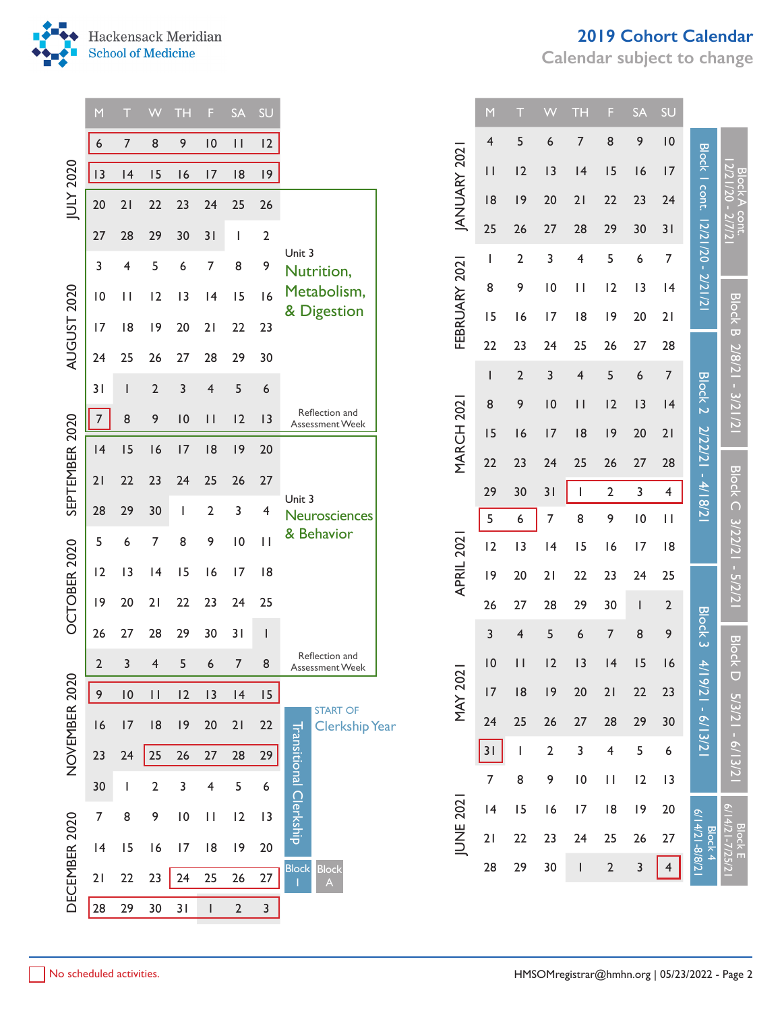

|                                                                                                                                                                                                                                                                                                                                                                                                                                                                                                                                                                                                                                                                                                                                                                                                                | M  |    | VV             | TН              | F            | <b>SA</b>     | SU           |                                          |  | M              |                | VV           | <b>TH</b>                                                                                                                                                                                                                                                                                                                                                                                                                                                                                                                                                                                                                                                                                                                                                                                                                                                                                                                                           | F | <b>SA</b> | SU |  |  |
|----------------------------------------------------------------------------------------------------------------------------------------------------------------------------------------------------------------------------------------------------------------------------------------------------------------------------------------------------------------------------------------------------------------------------------------------------------------------------------------------------------------------------------------------------------------------------------------------------------------------------------------------------------------------------------------------------------------------------------------------------------------------------------------------------------------|----|----|----------------|-----------------|--------------|---------------|--------------|------------------------------------------|--|----------------|----------------|--------------|-----------------------------------------------------------------------------------------------------------------------------------------------------------------------------------------------------------------------------------------------------------------------------------------------------------------------------------------------------------------------------------------------------------------------------------------------------------------------------------------------------------------------------------------------------------------------------------------------------------------------------------------------------------------------------------------------------------------------------------------------------------------------------------------------------------------------------------------------------------------------------------------------------------------------------------------------------|---|-----------|----|--|--|
|                                                                                                                                                                                                                                                                                                                                                                                                                                                                                                                                                                                                                                                                                                                                                                                                                | 6  | 7  | 8              | 9               | 10           | $\vert \vert$ | 12           |                                          |  | 4              | 5              | 6            | 9<br>7<br>8<br>10<br><b>Block I cont.</b><br>15<br> 4<br>16<br>17<br>22<br>23<br>21<br>24<br>12/21/20 - 2/21/21<br>28<br>29<br>30<br>31<br>5<br>7<br>4<br>6<br>12<br>13<br>$\mathbf{H}$<br> 4<br> 8<br> 9<br>20<br>21<br>25<br>28<br>26<br>27<br>5<br>7<br>4<br>6<br><b>Block 2</b><br>12<br> 3<br>$\vert \vert$<br> 4<br>2/22/21 - 4/18/21<br> 9<br>20<br> 8<br>21<br>25<br>26<br>27<br>28<br>2<br>3<br>4<br>8<br>9<br>$\overline{10}$<br>$\mathbf{H}$<br>15<br>17<br> 8<br>16<br>22<br>23<br>24<br>25<br>29<br>30<br>$\overline{2}$<br>$\mathsf{I}$<br><b>Block 3</b><br>$\overline{7}$<br>8<br>9<br>6<br> 3<br> 4<br>15<br>16<br>$\neq$<br>$9/21 - 6/13/21$<br>20<br>21<br>22<br>23<br>29<br>27<br>28<br>30<br>3<br>5<br>$\overline{\mathbf{4}}$<br>6<br>$\vert 0$<br>12<br>$\mathbf{H}$<br> 3<br>17<br> 9<br> 8<br>20<br>$6/14/21 - 8/8/2$<br>Block 4<br>26<br>24<br>25<br>27<br>$\sqrt{2}$<br>$\overline{3}$<br>$\overline{4}$<br>$\mathbf{I}$ |   |           |    |  |  |
| <b>JULY 2020</b><br>13<br>27<br>3<br>AUGUST 2020<br>31<br>SEPTEMBER 2020<br>$\overline{7}$<br>21<br>5<br>OCTOBER 2020<br>2<br>NOVEMBER 2020<br>$\,9$<br>DECEMBER 2020<br>7                                                                                                                                                                                                                                                                                                                                                                                                                                                                                                                                                                                                                                     |    | 4  | 15             | 16              | 17           | 8             | 9            |                                          |  | $\vert \vert$  | 12             | 13           |                                                                                                                                                                                                                                                                                                                                                                                                                                                                                                                                                                                                                                                                                                                                                                                                                                                                                                                                                     |   |           |    |  |  |
|                                                                                                                                                                                                                                                                                                                                                                                                                                                                                                                                                                                                                                                                                                                                                                                                                | 20 | 21 | 22             | 23              | 24           | 25            | 26           |                                          |  | 8              | 9              | 20           |                                                                                                                                                                                                                                                                                                                                                                                                                                                                                                                                                                                                                                                                                                                                                                                                                                                                                                                                                     |   |           |    |  |  |
|                                                                                                                                                                                                                                                                                                                                                                                                                                                                                                                                                                                                                                                                                                                                                                                                                |    | 28 | 29             | 30              | 31           |               | 2            |                                          |  | 25             | 26             | 27           |                                                                                                                                                                                                                                                                                                                                                                                                                                                                                                                                                                                                                                                                                                                                                                                                                                                                                                                                                     |   |           |    |  |  |
|                                                                                                                                                                                                                                                                                                                                                                                                                                                                                                                                                                                                                                                                                                                                                                                                                |    | 4  | 5              | 6               | 7            | 8             | 9            | Unit 3                                   |  | ı              | $\overline{2}$ | 3            |                                                                                                                                                                                                                                                                                                                                                                                                                                                                                                                                                                                                                                                                                                                                                                                                                                                                                                                                                     |   |           |    |  |  |
|                                                                                                                                                                                                                                                                                                                                                                                                                                                                                                                                                                                                                                                                                                                                                                                                                | 0  | Н  | 12             | 3               | 4            | 15            | 16           | Metabolism,                              |  | 8              | 9              | 0            |                                                                                                                                                                                                                                                                                                                                                                                                                                                                                                                                                                                                                                                                                                                                                                                                                                                                                                                                                     |   |           |    |  |  |
|                                                                                                                                                                                                                                                                                                                                                                                                                                                                                                                                                                                                                                                                                                                                                                                                                | 17 |    | 9              | 20              | 21           |               |              | & Digestion                              |  | 15             | 16             | 17           |                                                                                                                                                                                                                                                                                                                                                                                                                                                                                                                                                                                                                                                                                                                                                                                                                                                                                                                                                     |   |           |    |  |  |
|                                                                                                                                                                                                                                                                                                                                                                                                                                                                                                                                                                                                                                                                                                                                                                                                                |    |    |                |                 |              |               |              |                                          |  | 22             | 23             | 24           |                                                                                                                                                                                                                                                                                                                                                                                                                                                                                                                                                                                                                                                                                                                                                                                                                                                                                                                                                     |   |           |    |  |  |
|                                                                                                                                                                                                                                                                                                                                                                                                                                                                                                                                                                                                                                                                                                                                                                                                                |    |    |                |                 |              |               |              |                                          |  |                | $\overline{2}$ | 3            |                                                                                                                                                                                                                                                                                                                                                                                                                                                                                                                                                                                                                                                                                                                                                                                                                                                                                                                                                     |   |           |    |  |  |
|                                                                                                                                                                                                                                                                                                                                                                                                                                                                                                                                                                                                                                                                                                                                                                                                                |    |    |                |                 |              |               |              | Reflection and                           |  | 8              | 9              | 10           |                                                                                                                                                                                                                                                                                                                                                                                                                                                                                                                                                                                                                                                                                                                                                                                                                                                                                                                                                     |   |           |    |  |  |
|                                                                                                                                                                                                                                                                                                                                                                                                                                                                                                                                                                                                                                                                                                                                                                                                                |    |    |                |                 |              |               |              |                                          |  | 15             | 16             | 17           |                                                                                                                                                                                                                                                                                                                                                                                                                                                                                                                                                                                                                                                                                                                                                                                                                                                                                                                                                     |   |           |    |  |  |
|                                                                                                                                                                                                                                                                                                                                                                                                                                                                                                                                                                                                                                                                                                                                                                                                                |    |    |                |                 |              |               |              |                                          |  | 22             | 23             | 24           |                                                                                                                                                                                                                                                                                                                                                                                                                                                                                                                                                                                                                                                                                                                                                                                                                                                                                                                                                     |   |           |    |  |  |
|                                                                                                                                                                                                                                                                                                                                                                                                                                                                                                                                                                                                                                                                                                                                                                                                                |    |    |                |                 |              |               |              | Unit 3                                   |  | 29             | 30             | 31           |                                                                                                                                                                                                                                                                                                                                                                                                                                                                                                                                                                                                                                                                                                                                                                                                                                                                                                                                                     |   |           |    |  |  |
|                                                                                                                                                                                                                                                                                                                                                                                                                                                                                                                                                                                                                                                                                                                                                                                                                |    |    |                |                 |              |               |              | Neurosciences                            |  | 5              | 6              | 7            |                                                                                                                                                                                                                                                                                                                                                                                                                                                                                                                                                                                                                                                                                                                                                                                                                                                                                                                                                     |   |           |    |  |  |
|                                                                                                                                                                                                                                                                                                                                                                                                                                                                                                                                                                                                                                                                                                                                                                                                                |    | 6  | 7              | 8               | 9            |               | $\mathbf{H}$ |                                          |  | 12             | 3              | 4            |                                                                                                                                                                                                                                                                                                                                                                                                                                                                                                                                                                                                                                                                                                                                                                                                                                                                                                                                                     |   |           |    |  |  |
|                                                                                                                                                                                                                                                                                                                                                                                                                                                                                                                                                                                                                                                                                                                                                                                                                | 12 | 13 | 14             | 15              | 16           | 17            | 8            |                                          |  | 9              | 20             | 21           |                                                                                                                                                                                                                                                                                                                                                                                                                                                                                                                                                                                                                                                                                                                                                                                                                                                                                                                                                     |   |           |    |  |  |
|                                                                                                                                                                                                                                                                                                                                                                                                                                                                                                                                                                                                                                                                                                                                                                                                                | 9  | 20 | 21             | 22              | 23           | 24            | 25           |                                          |  | 26             | 27             | 28           |                                                                                                                                                                                                                                                                                                                                                                                                                                                                                                                                                                                                                                                                                                                                                                                                                                                                                                                                                     |   |           |    |  |  |
|                                                                                                                                                                                                                                                                                                                                                                                                                                                                                                                                                                                                                                                                                                                                                                                                                | 26 | 27 | 28             | 29              | 30           | 31            |              |                                          |  | 3              | 4              | 5            |                                                                                                                                                                                                                                                                                                                                                                                                                                                                                                                                                                                                                                                                                                                                                                                                                                                                                                                                                     |   |           |    |  |  |
|                                                                                                                                                                                                                                                                                                                                                                                                                                                                                                                                                                                                                                                                                                                                                                                                                |    | 3  | 4              | 5               | 6            | 7             | 8            | Reflection and<br><b>Assessment Week</b> |  | 0              | $\mathsf{I}$   | 12           |                                                                                                                                                                                                                                                                                                                                                                                                                                                                                                                                                                                                                                                                                                                                                                                                                                                                                                                                                     |   |           |    |  |  |
|                                                                                                                                                                                                                                                                                                                                                                                                                                                                                                                                                                                                                                                                                                                                                                                                                |    | 10 | $\vert \vert$  | 12              | 13           | 4             | 15           |                                          |  | 17             | 8              | 9            |                                                                                                                                                                                                                                                                                                                                                                                                                                                                                                                                                                                                                                                                                                                                                                                                                                                                                                                                                     |   |           |    |  |  |
|                                                                                                                                                                                                                                                                                                                                                                                                                                                                                                                                                                                                                                                                                                                                                                                                                | 16 | 17 | 8              | 9               | 20           | 21            | 22           |                                          |  | 24             | 25             | 26           |                                                                                                                                                                                                                                                                                                                                                                                                                                                                                                                                                                                                                                                                                                                                                                                                                                                                                                                                                     |   |           |    |  |  |
|                                                                                                                                                                                                                                                                                                                                                                                                                                                                                                                                                                                                                                                                                                                                                                                                                | 23 | 24 | 25             | 26              | 27           | 28            | 29           |                                          |  | 31             | I              | $\mathbf{2}$ |                                                                                                                                                                                                                                                                                                                                                                                                                                                                                                                                                                                                                                                                                                                                                                                                                                                                                                                                                     |   |           |    |  |  |
|                                                                                                                                                                                                                                                                                                                                                                                                                                                                                                                                                                                                                                                                                                                                                                                                                | 30 |    | $\overline{2}$ | 3               | 4            | 5             | 6            |                                          |  | $\overline{7}$ | 8              | 9            |                                                                                                                                                                                                                                                                                                                                                                                                                                                                                                                                                                                                                                                                                                                                                                                                                                                                                                                                                     |   |           |    |  |  |
|                                                                                                                                                                                                                                                                                                                                                                                                                                                                                                                                                                                                                                                                                                                                                                                                                |    | 8  | 9              | $\overline{10}$ | $\mathbf{H}$ | 12            | 3            |                                          |  | 4              | 15             | 16           |                                                                                                                                                                                                                                                                                                                                                                                                                                                                                                                                                                                                                                                                                                                                                                                                                                                                                                                                                     |   |           |    |  |  |
|                                                                                                                                                                                                                                                                                                                                                                                                                                                                                                                                                                                                                                                                                                                                                                                                                | 4  | 15 | 16             | 17              | 8            | 9             | 20           |                                          |  | 21             | 22             | 23           |                                                                                                                                                                                                                                                                                                                                                                                                                                                                                                                                                                                                                                                                                                                                                                                                                                                                                                                                                     |   |           |    |  |  |
|                                                                                                                                                                                                                                                                                                                                                                                                                                                                                                                                                                                                                                                                                                                                                                                                                | 21 | 22 | 23             |                 | 25           |               |              | <b>Block</b><br><b>Block</b>             |  | 28             | 29             | 30           |                                                                                                                                                                                                                                                                                                                                                                                                                                                                                                                                                                                                                                                                                                                                                                                                                                                                                                                                                     |   |           |    |  |  |
|                                                                                                                                                                                                                                                                                                                                                                                                                                                                                                                                                                                                                                                                                                                                                                                                                |    |    |                |                 |              |               |              |                                          |  |                |                |              |                                                                                                                                                                                                                                                                                                                                                                                                                                                                                                                                                                                                                                                                                                                                                                                                                                                                                                                                                     |   |           |    |  |  |
|                                                                                                                                                                                                                                                                                                                                                                                                                                                                                                                                                                                                                                                                                                                                                                                                                |    |    |                |                 |              |               |              |                                          |  |                |                |              |                                                                                                                                                                                                                                                                                                                                                                                                                                                                                                                                                                                                                                                                                                                                                                                                                                                                                                                                                     |   |           |    |  |  |
| ANUARY 2021<br>12/21/20<br>Nools<br>FEBRUARY 2021<br>Nutrition,<br><b>Block B</b><br> 8<br>23<br>22<br>17/8/21<br>$30$<br>25<br>27<br>28<br>29<br>24<br>26<br>$-3/21/21$<br>5<br>2<br>3<br>6<br>4<br>MARCH 202<br>8<br>9<br>10<br>$\mathbf{H}$<br>12<br>13<br>Assessment Week<br>15<br>17<br> 8<br> 9<br>20<br> 4<br>16<br><b>Block C</b><br>22<br>27<br>23<br>25<br>26<br>24<br>28<br>29<br>30<br>3<br>2<br>4<br>3/22/21<br>& Behavior<br>APRIL 202<br>10<br>$-5/2/2$<br><b>Block D</b><br><b>MAY 2021</b><br>5/3/21 - 6/13/2<br><b>START OF</b><br><b>Clerkship Year</b><br>Transitional Clerkship<br>JUNE 202<br>Block E<br>14/21-7/25/21<br>24<br>26<br>$27$<br>$\overline{A}$<br>28<br>29<br>30<br>31<br>$\overline{2}$<br>3<br>No scheduled activities.<br>HMSOMregistrar@hmhn.org   05/23/2022 - Page 2 |    |    |                |                 |              |               |              |                                          |  |                |                |              |                                                                                                                                                                                                                                                                                                                                                                                                                                                                                                                                                                                                                                                                                                                                                                                                                                                                                                                                                     |   |           |    |  |  |

## **2019 Cohort Calendar**

**Calendar subject to change**

|                                                                                  |                          | Т                                                                                                                                                                                                                                                                                                                                                                     |                 |                          |                |                 |                                                                                                                                                                                                                                                                                                                                                                                                                                                          |  |
|----------------------------------------------------------------------------------|--------------------------|-----------------------------------------------------------------------------------------------------------------------------------------------------------------------------------------------------------------------------------------------------------------------------------------------------------------------------------------------------------------------|-----------------|--------------------------|----------------|-----------------|----------------------------------------------------------------------------------------------------------------------------------------------------------------------------------------------------------------------------------------------------------------------------------------------------------------------------------------------------------------------------------------------------------------------------------------------------------|--|
| <b>ANUARY 202</b><br>FEBRUARY 2021<br>MARCH 202<br>APRIL 2021<br><b>MAY 2021</b> | 4                        | 5                                                                                                                                                                                                                                                                                                                                                                     | 6               | 7                        | 8              | 9               | 10                                                                                                                                                                                                                                                                                                                                                                                                                                                       |  |
|                                                                                  | $\vert \ \vert$          | 2                                                                                                                                                                                                                                                                                                                                                                     | 3               | 4                        | 15             | 16              | 17                                                                                                                                                                                                                                                                                                                                                                                                                                                       |  |
|                                                                                  | 18                       | 9                                                                                                                                                                                                                                                                                                                                                                     | 20              | 21                       | 22             | 23              | 24                                                                                                                                                                                                                                                                                                                                                                                                                                                       |  |
| <b>JUNE 2021</b>                                                                 | 25                       | 26                                                                                                                                                                                                                                                                                                                                                                    | 27              | 28                       | 29             | 30              | 31                                                                                                                                                                                                                                                                                                                                                                                                                                                       |  |
|                                                                                  | $\overline{\phantom{a}}$ | $\overline{2}$                                                                                                                                                                                                                                                                                                                                                        | 3               | 4                        | 5              | 6               | 7                                                                                                                                                                                                                                                                                                                                                                                                                                                        |  |
|                                                                                  | 8                        | 9                                                                                                                                                                                                                                                                                                                                                                     | $\overline{10}$ | П                        | 2              | 3               | 4                                                                                                                                                                                                                                                                                                                                                                                                                                                        |  |
|                                                                                  | 15                       | 16                                                                                                                                                                                                                                                                                                                                                                    | $\overline{17}$ | 18                       | 9              | 20              | 21                                                                                                                                                                                                                                                                                                                                                                                                                                                       |  |
|                                                                                  | 22                       | 23                                                                                                                                                                                                                                                                                                                                                                    | 24              | 25                       | 26             | 27              | 28                                                                                                                                                                                                                                                                                                                                                                                                                                                       |  |
|                                                                                  | $\overline{\phantom{a}}$ | $\overline{2}$                                                                                                                                                                                                                                                                                                                                                        | 3               | $\overline{\mathcal{A}}$ | 5              | 6               | $\overline{7}$                                                                                                                                                                                                                                                                                                                                                                                                                                           |  |
|                                                                                  | 8                        | 9                                                                                                                                                                                                                                                                                                                                                                     | $\overline{0}$  | П                        | 12             | 3               | 4                                                                                                                                                                                                                                                                                                                                                                                                                                                        |  |
|                                                                                  | 15                       | 16                                                                                                                                                                                                                                                                                                                                                                    | 17              | 18                       | 9              | 20              | 21                                                                                                                                                                                                                                                                                                                                                                                                                                                       |  |
|                                                                                  | 22                       | 23                                                                                                                                                                                                                                                                                                                                                                    | 24              | 25                       | 26             | 27              | 28                                                                                                                                                                                                                                                                                                                                                                                                                                                       |  |
|                                                                                  | 29                       | 30                                                                                                                                                                                                                                                                                                                                                                    | 31              | I                        | $\overline{2}$ | 3               | 4                                                                                                                                                                                                                                                                                                                                                                                                                                                        |  |
|                                                                                  | 5                        | 6                                                                                                                                                                                                                                                                                                                                                                     | 7               | 8                        | 9              | $\overline{10}$ | SU<br>Block I cont. 12/21/20 - 2/21/21<br>BlockA<br>COnt<br>Block B 2/8/21 - 3/2<br>Block <sub>2</sub><br>2/22/21 - 4/18/2<br>Block C 3/22/21 - 5/2/2<br>$\overline{\phantom{a}}$<br>18<br>25<br>$\overline{2}$<br><b>Block 3</b><br>9<br>$\frac{8}{20}$<br>$\overline{6}$<br>4/19/21 - 6/13/21<br>F<br>O<br>23<br>$5/3/2$ - $-6/13/2$<br>30<br>6<br> 3<br>20<br>6/14/21-7/25/2<br>6/14/21-8/8/21<br>Block E<br>Block 4<br>27<br>$\overline{\mathbf{4}}$ |  |
|                                                                                  | 2                        | 3                                                                                                                                                                                                                                                                                                                                                                     | 4               | 15                       | 16             | 7               |                                                                                                                                                                                                                                                                                                                                                                                                                                                          |  |
|                                                                                  | 9                        | 20                                                                                                                                                                                                                                                                                                                                                                    | $\overline{2}$  | 22                       | 23             | 24              |                                                                                                                                                                                                                                                                                                                                                                                                                                                          |  |
|                                                                                  | 26                       | 27                                                                                                                                                                                                                                                                                                                                                                    | 28              | 29                       | 30             | I               |                                                                                                                                                                                                                                                                                                                                                                                                                                                          |  |
|                                                                                  | 3                        | 4                                                                                                                                                                                                                                                                                                                                                                     | 5               | 6                        | 7              | 8               |                                                                                                                                                                                                                                                                                                                                                                                                                                                          |  |
|                                                                                  | 10                       | $\mathsf{I}$                                                                                                                                                                                                                                                                                                                                                          | $\overline{2}$  | 3                        | 4              | 15              |                                                                                                                                                                                                                                                                                                                                                                                                                                                          |  |
|                                                                                  | 7                        | 8                                                                                                                                                                                                                                                                                                                                                                     | 9               | 20                       | 21             | 22              |                                                                                                                                                                                                                                                                                                                                                                                                                                                          |  |
|                                                                                  | 24                       | TH<br>M<br>F<br><b>SA</b><br>25<br>26<br>27<br>28<br>29<br>3<br>5<br>$\overline{2}$<br>$\overline{\mathbf{4}}$<br>31<br>$\begin{array}{c} \hline \end{array}$<br>$\overline{7}$<br>8<br>9<br>$\overline{10}$<br>П<br> 2<br> 4<br>15<br>16<br>18<br>$\overline{17}$<br> 9<br>25<br>26<br>22<br>23<br>24<br>3<br>30<br>29<br>$\overline{\phantom{a}}$<br>$\overline{2}$ |                 |                          |                |                 |                                                                                                                                                                                                                                                                                                                                                                                                                                                          |  |
|                                                                                  |                          |                                                                                                                                                                                                                                                                                                                                                                       |                 |                          |                |                 |                                                                                                                                                                                                                                                                                                                                                                                                                                                          |  |
|                                                                                  |                          |                                                                                                                                                                                                                                                                                                                                                                       |                 |                          |                |                 |                                                                                                                                                                                                                                                                                                                                                                                                                                                          |  |
|                                                                                  |                          |                                                                                                                                                                                                                                                                                                                                                                       |                 |                          |                |                 |                                                                                                                                                                                                                                                                                                                                                                                                                                                          |  |
|                                                                                  | 21                       |                                                                                                                                                                                                                                                                                                                                                                       |                 |                          |                |                 |                                                                                                                                                                                                                                                                                                                                                                                                                                                          |  |
|                                                                                  | 28                       |                                                                                                                                                                                                                                                                                                                                                                       |                 |                          |                |                 |                                                                                                                                                                                                                                                                                                                                                                                                                                                          |  |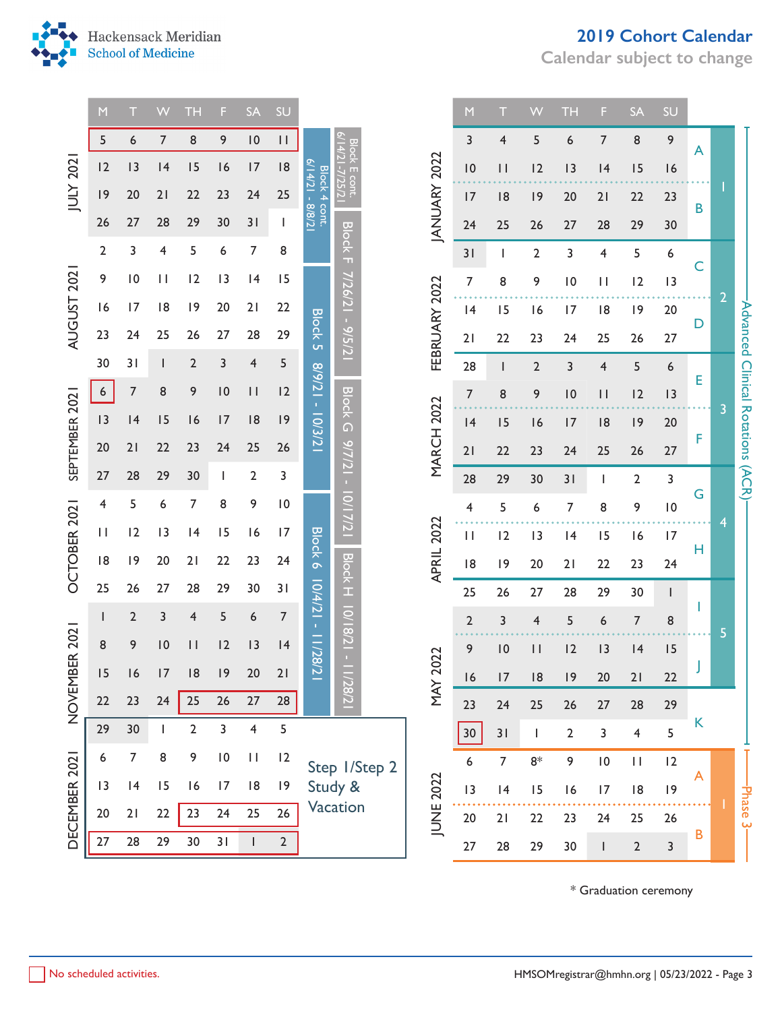

**Calendar subject to change**



**The Story** 

|                          | M            |                | VV              | TF.                     | F         | <b>SA</b>               | SU                                                             |                                   |                                                  |               |                                 | M               |                         | W              | ТH              | F              | <b>SA</b>                                                        | SU               |             |                       |                                               |  |
|--------------------------|--------------|----------------|-----------------|-------------------------|-----------|-------------------------|----------------------------------------------------------------|-----------------------------------|--------------------------------------------------|---------------|---------------------------------|-----------------|-------------------------|----------------|-----------------|----------------|------------------------------------------------------------------|------------------|-------------|-----------------------|-----------------------------------------------|--|
|                          | 5            | 6              | 7               | 8                       | 9         | $\overline{10}$         | $\mathsf{H}% _{T}=\mathsf{H}_{T}\left( \mathcal{A}_{T}\right)$ |                                   |                                                  |               |                                 | 3               | $\overline{\mathbf{4}}$ | 5              | 6               | $\overline{7}$ | 8                                                                | 9                | A           |                       |                                               |  |
|                          | 12           | 13             | 4               | 15                      | 16        | 17                      | 8                                                              |                                   |                                                  | Block E cont. |                                 | 10              | $\vert \vert$           | 12             | 13              | 4              | 15                                                               | 16               |             |                       |                                               |  |
| JULY 2021                | 9            | 20             | 21              | 22                      | 23        | 24                      | 25                                                             | Block 4 cont.<br>6/14/21 - 8/8/21 | 7757/                                            |               |                                 | 17              | 8                       | 9              | 20              | 21             | 22                                                               | 23               |             |                       |                                               |  |
|                          | 26           | 27             | 28              | 29                      | 30        | 31                      | J.                                                             |                                   |                                                  |               | <b>JANUARY 2022</b>             | 24              | 25                      | 26             | 27              | 28             | 29                                                               | 30               | B           |                       |                                               |  |
| <b>AUGUST 2021</b>       | $\mathbf{2}$ | 3              | 4               | 5                       | 6         | $\overline{7}$          | 8                                                              |                                   | <b>Block F</b>                                   |               |                                 | 31              | L                       | $\overline{2}$ | 3               | 4              | 5                                                                | $\boldsymbol{6}$ |             |                       |                                               |  |
|                          | 9            | 10             | $\mathbf{H}$    | 12                      | 13        | 4                       | 15                                                             |                                   |                                                  |               |                                 | $\overline{7}$  | 8                       | 9              | $\overline{10}$ | $\mathbf{H}$   | 12                                                               | 3                | C           |                       |                                               |  |
|                          | 16           | 17             | 8               | 9                       | 20        | 21                      | 22                                                             |                                   | 7/26/21 - 9/5/21                                 |               | FEBRUARY 2022                   | 4               | 15                      | 6              | 17              | 8              | 9                                                                | 20               |             | $\overline{2}$        |                                               |  |
|                          | 23           | 24             | 25              | 26                      | 27        | 28                      | 29                                                             | <b>Block 5</b>                    |                                                  |               |                                 | 21              | 22                      | 23             | 24              | 25             | 26                                                               | 27               | D           |                       |                                               |  |
|                          | 30           | 31             |                 | $\overline{\mathbf{c}}$ | 3         | 4                       | 5                                                              |                                   |                                                  |               |                                 | 28              | L                       | $\mathbf 2$    | 3               | 4              | 5                                                                | 6                |             |                       |                                               |  |
|                          | 6            | $\overline{7}$ | 8               | 9                       | 10        | $\mathbf{H}$            | 12                                                             | 12/21 - 12/3/21                   |                                                  |               |                                 | $\overline{7}$  | 8                       | 9              | $\overline{10}$ | $\mathbf{H}$   | 12                                                               | 13               | E           | 3                     |                                               |  |
| SEPTEMBER 2021           | 3            | 4              | 15              | 16                      | 17        | 8                       | 9                                                              |                                   | <b>Block G</b>                                   |               |                                 | 4               | 15                      | 16             | 17              | 8              | 9                                                                | 20               |             |                       |                                               |  |
|                          | 20           | 21             | 22              | 23                      | 24        | 25                      | 26                                                             |                                   | $-12/16$                                         |               | <b>MARCH 2022</b><br>APRIL 2022 | 21              | 22                      | 23             | 24              | 25             | 26                                                               | 27               | F           |                       | -Advanced Clinical Rotations (ACR)            |  |
|                          | 27           | 28             | 29              | 30                      | I.        | $\overline{2}$          | 3                                                              |                                   |                                                  |               |                                 | 28              | 29                      | 30             | 31              | ı              | $\overline{2}$                                                   | $\overline{3}$   |             |                       |                                               |  |
| OCTOBER 2021             | 4            | 5              | 6               | 7                       | 8         | 9                       | 10                                                             |                                   | 10/17/21<br><b>Block H</b><br>10/18/21 - 11/28/2 |               |                                 | 4               | 5                       | 6              | 7               | 8              | 9                                                                | $\overline{10}$  | G<br>н      |                       |                                               |  |
|                          | $\mathbf{H}$ | 12             | 13              | 4                       | 15        | 16                      | 17                                                             | <b>Block 6</b>                    |                                                  |               |                                 | $\vert \ \vert$ | 12                      | 13             | 4               | 15             | 16                                                               | 17               |             | 4                     |                                               |  |
|                          | 8            | 9              | 20              | 21                      | 22        | 23                      | 24                                                             |                                   |                                                  |               |                                 | 8               | 9                       | 20             | 21              | 22             | 23                                                               | 24               |             |                       |                                               |  |
|                          | 25           | 26             | 27              | 28                      | 29        | 30                      | 31                                                             | $10/4/21 - 1/28/21$               |                                                  |               |                                 |                 | 25                      | 26             | 27              | 28             | 29                                                               | 30               | $\mathsf I$ | ı                     |                                               |  |
|                          | $\mathsf{l}$ | $\overline{2}$ | 3               | 4                       | 5         | 6                       | $\overline{7}$                                                 |                                   |                                                  |               |                                 | $\overline{2}$  | 3                       | 4              | 5               | 6              | $\overline{7}$                                                   | 8                |             | 5                     |                                               |  |
|                          | 8            | 9              | $\overline{10}$ | $\vert \vert$           | 12        | 3                       | 4                                                              |                                   |                                                  |               | 2022                            | 9               | $\overline{10}$         | $\vert \vert$  | 12              | 3              | 4                                                                | 15               |             |                       |                                               |  |
|                          | 15           | 16             | 17              | 8                       | 9         | 20                      | 21                                                             |                                   |                                                  |               |                                 | 16              | 17                      | 8              | 9               | 20             | 21                                                               | 22               |             |                       |                                               |  |
| NOVEMBER 2021            | 22           | 23             | 24              | 25                      | 26        | 27                      | 28                                                             |                                   |                                                  |               | NAY                             | 23              | 24                      | 25             | 26              | $27$           | 28                                                               | 29               |             |                       |                                               |  |
|                          | 29           | 30             |                 | $\overline{2}$          | 3         | $\overline{\mathbf{4}}$ | 5                                                              |                                   |                                                  |               |                                 | $30\,$          | 31                      | $\mathbf{I}$   | $\overline{2}$  | $\overline{3}$ | $\overline{4}$                                                   | 5                | K           |                       |                                               |  |
|                          | 6            | $\overline{7}$ | 8               | 9                       | $\vert 0$ | $\mathbf{H}$            | 2                                                              |                                   |                                                  | Step 1/Step 2 |                                 | 6               | $\overline{7}$          | $8\!*\,$       | 9               | $\vert 0$      | $\mathsf{H}% _{T}=\mathsf{H}_{T}\left( \mathcal{A}_{T}\right) ,$ | 12               | A           |                       |                                               |  |
|                          | 13           | 4              | 15              | 16                      | 17        | 8                       | 9                                                              |                                   | Study &                                          |               |                                 | 13              | 4                       | 15             | 16              | 17             | 8                                                                | 9                |             |                       | Phase-                                        |  |
| DECEMBER 2021            | 20           | 21             | 22              | 23                      | 24        | 25                      | 26                                                             |                                   | Vacation                                         |               | JUNE 2022                       | 20              | 21                      | 22             | 23              | 24             | 25                                                               | 26               |             |                       | ڛ                                             |  |
|                          | 27           | 28             | 29              | 30                      | 31        | $\mathbf{I}$            | $2 \overline{ }$                                               |                                   |                                                  |               |                                 | 27              | 28                      | 29             | 30              | $\mathsf{l}$   | $\mathbf 2$                                                      | 3                | B           |                       |                                               |  |
|                          |              |                |                 |                         |           |                         |                                                                |                                   |                                                  |               |                                 |                 |                         |                |                 |                |                                                                  |                  |             |                       |                                               |  |
| No scheduled activities. |              |                |                 |                         |           |                         |                                                                |                                   |                                                  |               |                                 |                 |                         |                |                 |                |                                                                  |                  |             | * Graduation ceremony | HMSOMregistrar@hmhn.org   05/23/2022 - Page 3 |  |